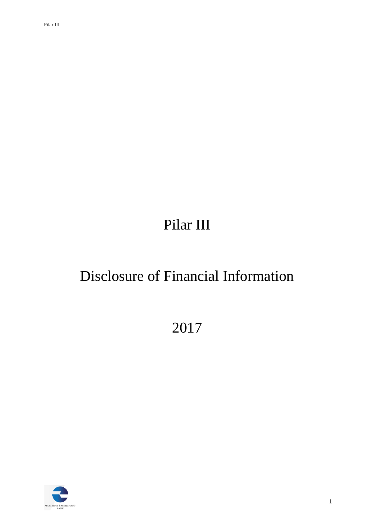# Pilar III

# Disclosure of Financial Information

2017

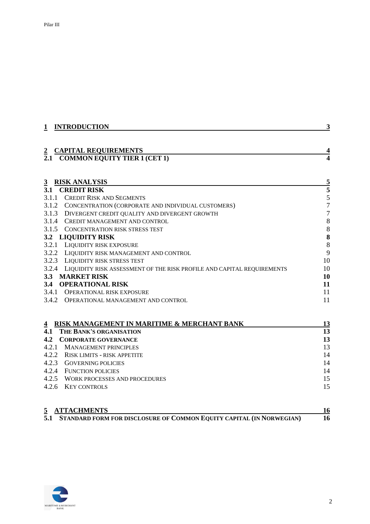| 1                     | <b>INTRODUCTION</b>                                                          | 3                            |
|-----------------------|------------------------------------------------------------------------------|------------------------------|
| $\overline{2}$<br>2.1 | <b>CAPITAL REQUIREMENTS</b><br><b>COMMON EQUITY TIER 1 (CET 1)</b>           | 4<br>$\overline{\mathbf{4}}$ |
| $\overline{3}$        | <b>RISK ANALYSIS</b>                                                         | $\overline{\mathbf{5}}$      |
| 3.1                   | <b>CREDIT RISK</b>                                                           | 5                            |
|                       | 3.1.1 CREDIT RISK AND SEGMENTS                                               | $\frac{5}{7}$                |
|                       | 3.1.2 CONCENTRATION (CORPORATE AND INDIVIDUAL CUSTOMERS)                     |                              |
|                       | 3.1.3 DIVERGENT CREDIT QUALITY AND DIVERGENT GROWTH                          | $\overline{7}$               |
|                       | 3.1.4 CREDIT MANAGEMENT AND CONTROL                                          | $\boldsymbol{8}$             |
|                       | 3.1.5 CONCENTRATION RISK STRESS TEST                                         | $\,$ 8 $\,$                  |
|                       | 3.2 LIQUIDITY RISK                                                           | 8                            |
|                       | 3.2.1 LIQUIDITY RISK EXPOSURE                                                | 8                            |
|                       | 3.2.2 LIQUIDITY RISK MANAGEMENT AND CONTROL                                  | 9                            |
|                       | 3.2.3 LIQUIDITY RISK STRESS TEST                                             | 10                           |
|                       | 3.2.4 LIQUIDITY RISK ASSESSMENT OF THE RISK PROFILE AND CAPITAL REQUIREMENTS | 10                           |
|                       | 3.3 MARKET RISK                                                              | 10                           |
| 3.4                   | <b>OPERATIONAL RISK</b>                                                      | 11                           |
|                       | 3.4.1 OPERATIONAL RISK EXPOSURE                                              | 11                           |
|                       | 3.4.2 OPERATIONAL MANAGEMENT AND CONTROL                                     | 11                           |
| $\overline{4}$        | RISK MANAGEMENT IN MARITIME & MERCHANT BANK                                  | 13                           |
| 4.1                   | THE BANK'S ORGANISATION                                                      | 13                           |
| 4.2                   | <b>CORPORATE GOVERNANCE</b>                                                  | 13                           |
|                       | 4.2.1 MANAGEMENT PRINCIPLES                                                  | 13                           |
|                       | 4.2.2 RISK LIMITS - RISK APPETITE                                            | 14                           |
|                       | 4.2.3 GOVERNING POLICIES                                                     | 14                           |
|                       | 4.2.4 FUNCTION POLICIES                                                      | 14                           |
|                       | 4.2.5 WORK PROCESSES AND PROCEDURES                                          | 15                           |
|                       | 4.2.6 KEY CONTROLS                                                           | 15                           |
|                       |                                                                              |                              |

| 5 ATTACHMENTS                                                            |  |
|--------------------------------------------------------------------------|--|
| 5.1 STANDARD FORM FOR DISCLOSURE OF COMMON EQUITY CAPITAL (IN NORWEGIAN) |  |

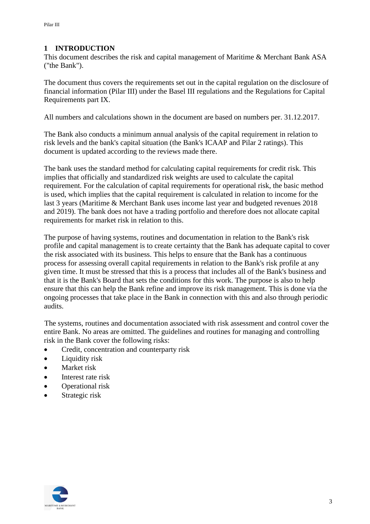## <span id="page-2-0"></span>**1 INTRODUCTION**

This document describes the risk and capital management of Maritime & Merchant Bank ASA ("the Bank").

The document thus covers the requirements set out in the capital regulation on the disclosure of financial information (Pilar III) under the Basel III regulations and the Regulations for Capital Requirements part IX.

All numbers and calculations shown in the document are based on numbers per. 31.12.2017.

The Bank also conducts a minimum annual analysis of the capital requirement in relation to risk levels and the bank's capital situation (the Bank's ICAAP and Pilar 2 ratings). This document is updated according to the reviews made there.

The bank uses the standard method for calculating capital requirements for credit risk. This implies that officially and standardized risk weights are used to calculate the capital requirement. For the calculation of capital requirements for operational risk, the basic method is used, which implies that the capital requirement is calculated in relation to income for the last 3 years (Maritime & Merchant Bank uses income last year and budgeted revenues 2018 and 2019). The bank does not have a trading portfolio and therefore does not allocate capital requirements for market risk in relation to this.

The purpose of having systems, routines and documentation in relation to the Bank's risk profile and capital management is to create certainty that the Bank has adequate capital to cover the risk associated with its business. This helps to ensure that the Bank has a continuous process for assessing overall capital requirements in relation to the Bank's risk profile at any given time. It must be stressed that this is a process that includes all of the Bank's business and that it is the Bank's Board that sets the conditions for this work. The purpose is also to help ensure that this can help the Bank refine and improve its risk management. This is done via the ongoing processes that take place in the Bank in connection with this and also through periodic audits.

The systems, routines and documentation associated with risk assessment and control cover the entire Bank. No areas are omitted. The guidelines and routines for managing and controlling risk in the Bank cover the following risks:

- Credit, concentration and counterparty risk
- Liquidity risk
- Market risk
- Interest rate risk
- Operational risk
- Strategic risk

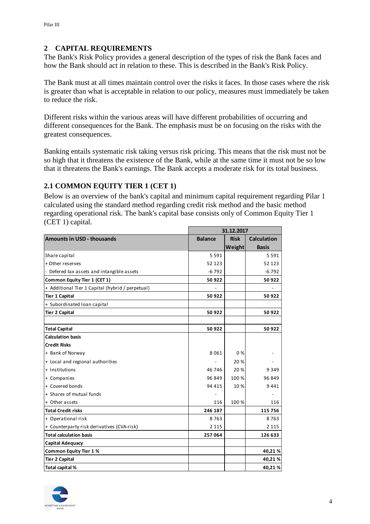## <span id="page-3-0"></span>**2 CAPITAL REQUIREMENTS**

The Bank's Risk Policy provides a general description of the types of risk the Bank faces and how the Bank should act in relation to these. This is described in the Bank's Risk Policy.

The Bank must at all times maintain control over the risks it faces. In those cases where the risk is greater than what is acceptable in relation to our policy, measures must immediately be taken to reduce the risk.

Different risks within the various areas will have different probabilities of occurring and different consequences for the Bank. The emphasis must be on focusing on the risks with the greatest consequences.

Banking entails systematic risk taking versus risk pricing. This means that the risk must not be so high that it threatens the existence of the Bank, while at the same time it must not be so low that it threatens the Bank's earnings. The Bank accepts a moderate risk for its total business.

## <span id="page-3-1"></span>**2.1 COMMON EQUITY TIER 1 (CET 1)**

Below is an overview of the bank's capital and minimum capital requirement regarding Pilar 1 calculated using the standard method regarding credit risk method and the basic method regarding operational risk. The bank's capital base consists only of Common Equity Tier 1 (CET 1) capital.

|                                                  |                | 31.12.2017  |                    |
|--------------------------------------------------|----------------|-------------|--------------------|
| <b>Amounts in USD - thousands</b>                | <b>Balance</b> | <b>Risk</b> | <b>Calculation</b> |
|                                                  |                | Weight      | <b>Basis</b>       |
| Share capital                                    | 5 5 9 1        |             | 5 5 9 1            |
| + Other reserves                                 | 52 123         |             | 52 123             |
| Defered tax assets and intangible assets         | $-6792$        |             | $-6792$            |
| Common Equity Tier 1 (CET 1)                     | 50922          |             | 50922              |
| + Additional Tier 1 Capital (hybrid / perpetual) |                |             |                    |
| <b>Tier 1 Capital</b>                            | 50 922         |             | 50 922             |
| + Subordinated loan capital                      |                |             |                    |
| <b>Tier 2 Capital</b>                            | 50922          |             | 50 922             |
|                                                  |                |             |                    |
| <b>Total Capital</b>                             | 50922          |             | 50922              |
| <b>Calculation basis</b>                         |                |             |                    |
| <b>Credit Risks</b>                              |                |             |                    |
| + Bank of Norway                                 | 8061           | $0\%$       |                    |
| + Local and regional authorities                 |                | 20 %        |                    |
| + Institutions                                   | 46 746         | 20 %        | 9 3 4 9            |
| + Companies                                      | 96 849         | 100 %       | 96 849             |
| + Covered bonds                                  | 94 4 15        | 10%         | 9441               |
| + Shares of mutual funds                         |                |             |                    |
| + Other assets                                   | 116            | 100 %       | 116                |
| <b>Total Credit risks</b>                        | 246 187        |             | 115 756            |
| + Operational risk                               | 8763           |             | 8763               |
| + Counterparty risk derivatives (CVA-risk)       | 2 1 1 5        |             | 2 1 1 5            |
| <b>Total calculation basis</b>                   | 257 064        |             | 126 633            |
| <b>Capital Adequacy</b>                          |                |             |                    |
| <b>Common Equity Tier 1%</b>                     |                |             | 40,21%             |
| <b>Tier 2 Capital</b>                            |                |             | 40,21%             |
| Total capital %                                  |                |             | 40,21%             |

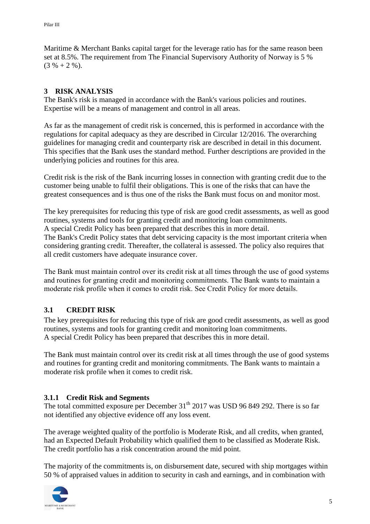Maritime & Merchant Banks capital target for the leverage ratio has for the same reason been set at 8.5%. The requirement from The Financial Supervisory Authority of Norway is 5 %  $(3 \% + 2 \%).$ 

## <span id="page-4-0"></span>**3 RISK ANALYSIS**

The Bank's risk is managed in accordance with the Bank's various policies and routines. Expertise will be a means of management and control in all areas.

As far as the management of credit risk is concerned, this is performed in accordance with the regulations for capital adequacy as they are described in Circular 12/2016. The overarching guidelines for managing credit and counterparty risk are described in detail in this document. This specifies that the Bank uses the standard method. Further descriptions are provided in the underlying policies and routines for this area.

Credit risk is the risk of the Bank incurring losses in connection with granting credit due to the customer being unable to fulfil their obligations. This is one of the risks that can have the greatest consequences and is thus one of the risks the Bank must focus on and monitor most.

The key prerequisites for reducing this type of risk are good credit assessments, as well as good routines, systems and tools for granting credit and monitoring loan commitments. A special Credit Policy has been prepared that describes this in more detail. The Bank's Credit Policy states that debt servicing capacity is the most important criteria when

considering granting credit. Thereafter, the collateral is assessed. The policy also requires that all credit customers have adequate insurance cover.

The Bank must maintain control over its credit risk at all times through the use of good systems and routines for granting credit and monitoring commitments. The Bank wants to maintain a moderate risk profile when it comes to credit risk. See Credit Policy for more details.

## <span id="page-4-1"></span>**3.1 CREDIT RISK**

The key prerequisites for reducing this type of risk are good credit assessments, as well as good routines, systems and tools for granting credit and monitoring loan commitments. A special Credit Policy has been prepared that describes this in more detail.

The Bank must maintain control over its credit risk at all times through the use of good systems and routines for granting credit and monitoring commitments. The Bank wants to maintain a moderate risk profile when it comes to credit risk.

## <span id="page-4-2"></span>**3.1.1 Credit Risk and Segments**

The total committed exposure per December  $31<sup>th</sup>$  2017 was USD 96 849 292. There is so far not identified any objective evidence off any loss event.

The average weighted quality of the portfolio is Moderate Risk, and all credits, when granted, had an Expected Default Probability which qualified them to be classified as Moderate Risk. The credit portfolio has a risk concentration around the mid point.

The majority of the commitments is, on disbursement date, secured with ship mortgages within 50 % of appraised values in addition to security in cash and earnings, and in combination with

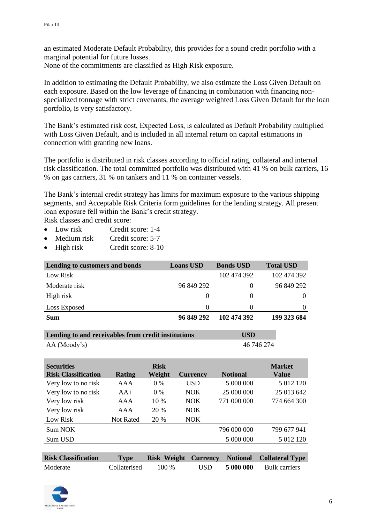an estimated Moderate Default Probability, this provides for a sound credit portfolio with a marginal potential for future losses.

None of the commitments are classified as High Risk exposure.

In addition to estimating the Default Probability, we also estimate the Loss Given Default on each exposure. Based on the low leverage of financing in combination with financing nonspecialized tonnage with strict covenants, the average weighted Loss Given Default for the loan portfolio, is very satisfactory.

The Bank's estimated risk cost, Expected Loss, is calculated as Default Probability multiplied with Loss Given Default, and is included in all internal return on capital estimations in connection with granting new loans.

The portfolio is distributed in risk classes according to official rating, collateral and internal risk classification. The total committed portfolio was distributed with 41 % on bulk carriers, 16 % on gas carriers, 31 % on tankers and 11 % on container vessels.

The Bank's internal credit strategy has limits for maximum exposure to the various shipping segments, and Acceptable Risk Criteria form guidelines for the lending strategy. All present loan exposure fell within the Bank's credit strategy.

Risk classes and credit score:

- Low risk Credit score: 1-4
- Medium risk Credit score: 5-7
- High risk Credit score: 8-10

| Lending to customers and bonds | <b>Loans USD</b> | <b>Bonds USD</b> | <b>Total USD</b> |
|--------------------------------|------------------|------------------|------------------|
| Low Risk                       |                  | 102 474 392      | 102 474 392      |
| Moderate risk                  | 96 849 292       | $\theta$         | 96 849 292       |
| High risk                      | $\theta$         | $\theta$         | $\Omega$         |
| Loss Exposed                   | $\Omega$         | $\theta$         | $\Omega$         |
| Sum                            | 96 849 292       | 102 474 392      | 199 323 684      |

| Lending to and receivables from credit institutions | <b>USD</b> |  |
|-----------------------------------------------------|------------|--|
| AA (Mody's)                                         | 46 746 274 |  |

| <b>Securities</b><br><b>Risk Classification</b> | Rating    | <b>Risk</b><br>Weight | <b>Currency</b> | <b>Notional</b> | <b>Market</b><br><b>Value</b> |
|-------------------------------------------------|-----------|-----------------------|-----------------|-----------------|-------------------------------|
| Very low to no risk                             | AAA       | $0\%$                 | <b>USD</b>      | 5 000 000       | 5 012 120                     |
| Very low to no risk                             | $AA+$     | $0\%$                 | <b>NOK</b>      | 25 000 000      | 25 013 642                    |
| Very low risk                                   | AAA       | $10\%$                | <b>NOK</b>      | 771 000 000     | 774 664 300                   |
| Very low risk                                   | AAA       | 20 %                  | NOK.            |                 |                               |
| Low Risk                                        | Not Rated | 20 %                  | NOK.            |                 |                               |
| Sum NOK                                         |           |                       |                 | 796 000 000     | 799 677 941                   |
| Sum USD                                         |           |                       |                 | 5 000 000       | 5 012 120                     |
|                                                 |           |                       |                 |                 |                               |

| <b>Risk Classification</b> | <b>Type</b>  |         |      | <b>Risk Weight Currency Notional Collateral Type</b> |
|----------------------------|--------------|---------|------|------------------------------------------------------|
| Moderate                   | Collaterised | $100\%$ | USD. | 5 000 000 Bulk carriers                              |

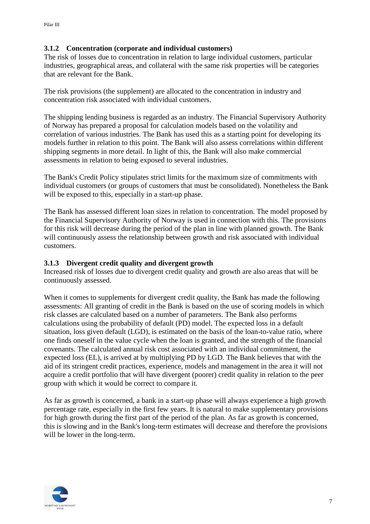## <span id="page-6-0"></span>**3.1.2 Concentration (corporate and individual customers)**

The risk of losses due to concentration in relation to large individual customers, particular industries, geographical areas, and collateral with the same risk properties will be categories that are relevant for the Bank.

The risk provisions (the supplement) are allocated to the concentration in industry and concentration risk associated with individual customers.

The shipping lending business is regarded as an industry. The Financial Supervisory Authority of Norway has prepared a proposal for calculation models based on the volatility and correlation of various industries. The Bank has used this as a starting point for developing its models further in relation to this point. The Bank will also assess correlations within different shipping segments in more detail. In light of this, the Bank will also make commercial assessments in relation to being exposed to several industries.

The Bank's Credit Policy stipulates strict limits for the maximum size of commitments with individual customers (or groups of customers that must be consolidated). Nonetheless the Bank will be exposed to this, especially in a start-up phase.

The Bank has assessed different loan sizes in relation to concentration. The model proposed by the Financial Supervisory Authority of Norway is used in connection with this. The provisions for this risk will decrease during the period of the plan in line with planned growth. The Bank will continuously assess the relationship between growth and risk associated with individual customers.

#### <span id="page-6-1"></span>**3.1.3 Divergent credit quality and divergent growth**

Increased risk of losses due to divergent credit quality and growth are also areas that will be continuously assessed.

When it comes to supplements for divergent credit quality, the Bank has made the following assessments: All granting of credit in the Bank is based on the use of scoring models in which risk classes are calculated based on a number of parameters. The Bank also performs calculations using the probability of default (PD) model. The expected loss in a default situation, loss given default (LGD), is estimated on the basis of the loan-to-value ratio, where one finds oneself in the value cycle when the loan is granted, and the strength of the financial covenants. The calculated annual risk cost associated with an individual commitment, the expected loss (EL), is arrived at by multiplying PD by LGD. The Bank believes that with the aid of its stringent credit practices, experience, models and management in the area it will not acquire a credit portfolio that will have divergent (poorer) credit quality in relation to the peer group with which it would be correct to compare it.

As far as growth is concerned, a bank in a start-up phase will always experience a high growth percentage rate, especially in the first few years. It is natural to make supplementary provisions for high growth during the first part of the period of the plan. As far as growth is concerned, this is slowing and in the Bank's long-term estimates will decrease and therefore the provisions will be lower in the long-term.

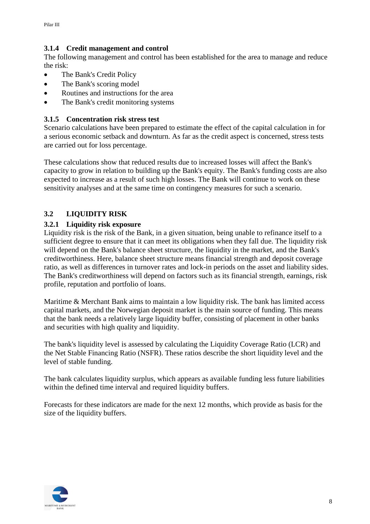## <span id="page-7-0"></span>**3.1.4 Credit management and control**

The following management and control has been established for the area to manage and reduce the risk:

- The Bank's Credit Policy
- The Bank's scoring model
- Routines and instructions for the area
- The Bank's credit monitoring systems

## <span id="page-7-1"></span>**3.1.5 Concentration risk stress test**

Scenario calculations have been prepared to estimate the effect of the capital calculation in for a serious economic setback and downturn. As far as the credit aspect is concerned, stress tests are carried out for loss percentage.

These calculations show that reduced results due to increased losses will affect the Bank's capacity to grow in relation to building up the Bank's equity. The Bank's funding costs are also expected to increase as a result of such high losses. The Bank will continue to work on these sensitivity analyses and at the same time on contingency measures for such a scenario.

## <span id="page-7-2"></span>**3.2 LIQUIDITY RISK**

## <span id="page-7-3"></span>**3.2.1 Liquidity risk exposure**

Liquidity risk is the risk of the Bank, in a given situation, being unable to refinance itself to a sufficient degree to ensure that it can meet its obligations when they fall due. The liquidity risk will depend on the Bank's balance sheet structure, the liquidity in the market, and the Bank's creditworthiness. Here, balance sheet structure means financial strength and deposit coverage ratio, as well as differences in turnover rates and lock-in periods on the asset and liability sides. The Bank's creditworthiness will depend on factors such as its financial strength, earnings, risk profile, reputation and portfolio of loans.

Maritime & Merchant Bank aims to maintain a low liquidity risk. The bank has limited access capital markets, and the Norwegian deposit market is the main source of funding. This means that the bank needs a relatively large liquidity buffer, consisting of placement in other banks and securities with high quality and liquidity.

The bank's liquidity level is assessed by calculating the Liquidity Coverage Ratio (LCR) and the Net Stable Financing Ratio (NSFR). These ratios describe the short liquidity level and the level of stable funding.

The bank calculates liquidity surplus, which appears as available funding less future liabilities within the defined time interval and required liquidity buffers.

Forecasts for these indicators are made for the next 12 months, which provide as basis for the size of the liquidity buffers.

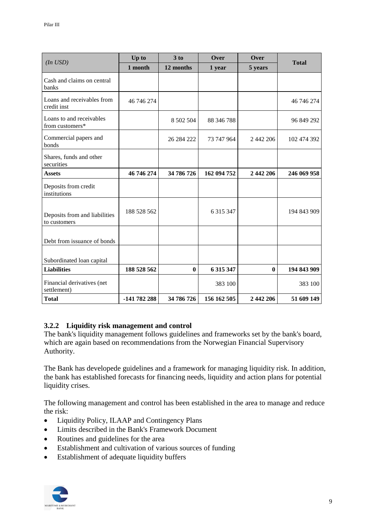|                                               | Up to        | 3 to       | Over        | Over         |              |
|-----------------------------------------------|--------------|------------|-------------|--------------|--------------|
| $(In$ $USD)$                                  | 1 month      | 12 months  | 1 year      | 5 years      | <b>Total</b> |
| Cash and claims on central<br>banks           |              |            |             |              |              |
| Loans and receivables from<br>credit inst     | 46 746 274   |            |             |              | 46 746 274   |
| Loans to and receivables<br>from customers*   |              | 8 502 504  | 88 346 788  |              | 96 849 292   |
| Commercial papers and<br>bonds                |              | 26 284 222 | 73 747 964  | 2 442 206    | 102 474 392  |
| Shares, funds and other<br>securities         |              |            |             |              |              |
| <b>Assets</b>                                 | 46 746 274   | 34 786 726 | 162 094 752 | 2 442 206    | 246 069 958  |
| Deposits from credit<br>institutions          |              |            |             |              |              |
| Deposits from and liabilities<br>to customers | 188 528 562  |            | 6 315 347   |              | 194 843 909  |
| Debt from issuance of bonds                   |              |            |             |              |              |
| Subordinated loan capital                     |              |            |             |              |              |
| <b>Liabilities</b>                            | 188 528 562  | $\bf{0}$   | 6 315 347   | $\mathbf{0}$ | 194 843 909  |
| Financial derivatives (net<br>settlement)     |              |            | 383 100     |              | 383 100      |
| <b>Total</b>                                  | -141 782 288 | 34 786 726 | 156 162 505 | 2 442 206    | 51 609 149   |

## <span id="page-8-0"></span>**3.2.2 Liquidity risk management and control**

The bank's liquidity management follows guidelines and frameworks set by the bank's board, which are again based on recommendations from the Norwegian Financial Supervisory Authority.

The Bank has developede guidelines and a framework for managing liquidity risk. In addition, the bank has established forecasts for financing needs, liquidity and action plans for potential liquidity crises.

The following management and control has been established in the area to manage and reduce the risk:

- Liquidity Policy, ILAAP and Contingency Plans
- Limits described in the Bank's Framework Document
- Routines and guidelines for the area
- Establishment and cultivation of various sources of funding
- Establishment of adequate liquidity buffers

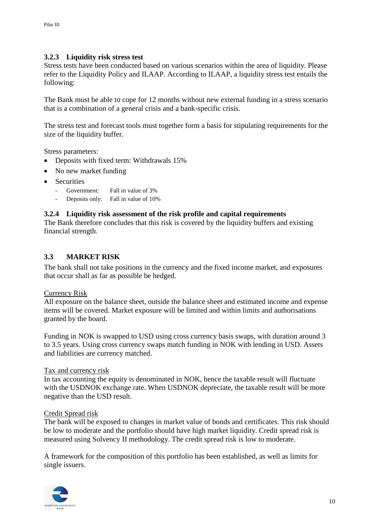#### <span id="page-9-0"></span>**3.2.3 Liquidity risk stress test**

Stress tests have been conducted based on various scenarios within the area of liquidity. Please refer to the Liquidity Policy and ILAAP. According to ILAAP, a liquidity stress test entails the following:

The Bank must be able to cope for 12 months without new external funding in a stress scenario that is a combination of a general crisis and a bank-specific crisis.

The stress test and forecast tools must together form a basis for stipulating requirements for the size of the liquidity buffer.

Stress parameters:

- Deposits with fixed term: Withdrawals 15%
- No new market funding
- Securities
	- Government: Fall in value of 3%
	- Deposits only: Fall in value of 10%

#### <span id="page-9-1"></span>**3.2.4 Liquidity risk assessment of the risk profile and capital requirements**

The Bank therefore concludes that this risk is covered by the liquidity buffers and existing financial strength.

#### <span id="page-9-2"></span>**3.3 MARKET RISK**

The bank shall not take positions in the currency and the fixed income market, and exposures that occur shall as far as possible be hedged.

#### Currency Risk

All exposure on the balance sheet, outside the balance sheet and estimated income and expense items will be covered. Market exposure will be limited and within limits and authorisations granted by the board.

Funding in NOK is swapped to USD using cross currency basis swaps, with duration around 3 to 3.5 years. Using cross currency swaps match funding in NOK with lending in USD. Assets and liabilities are currency matched.

#### Tax and currency risk

In tax accounting the equity is denominated in NOK, hence the taxable result will fluctuate with the USDNOK exchange rate. When USDNOK depreciate, the taxable result will be more negative than the USD result.

#### Credit Spread risk

The bank will be exposed to changes in market value of bonds and certificates. This risk should be low to moderate and the portfolio should have high market liquidity. Credit spread risk is measured using Solvency II methodology. The credit spread risk is low to moderate.

A framework for the composition of this portfolio has been established, as well as limits for single issuers.

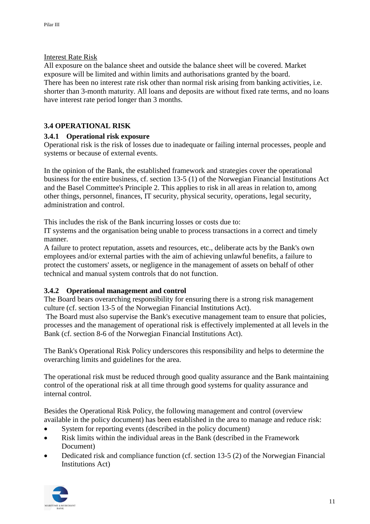#### Interest Rate Risk

All exposure on the balance sheet and outside the balance sheet will be covered. Market exposure will be limited and within limits and authorisations granted by the board. There has been no interest rate risk other than normal risk arising from banking activities, i.e. shorter than 3-month maturity. All loans and deposits are without fixed rate terms, and no loans have interest rate period longer than 3 months.

## <span id="page-10-0"></span>**3.4 OPERATIONAL RISK**

## <span id="page-10-1"></span>**3.4.1 Operational risk exposure**

Operational risk is the risk of losses due to inadequate or failing internal processes, people and systems or because of external events.

In the opinion of the Bank, the established framework and strategies cover the operational business for the entire business, cf. section 13-5 (1) of the Norwegian Financial Institutions Act and the Basel Committee's Principle 2. This applies to risk in all areas in relation to, among other things, personnel, finances, IT security, physical security, operations, legal security, administration and control.

This includes the risk of the Bank incurring losses or costs due to:

IT systems and the organisation being unable to process transactions in a correct and timely manner.

A failure to protect reputation, assets and resources, etc., deliberate acts by the Bank's own employees and/or external parties with the aim of achieving unlawful benefits, a failure to protect the customers' assets, or negligence in the management of assets on behalf of other technical and manual system controls that do not function.

## <span id="page-10-2"></span>**3.4.2 Operational management and control**

The Board bears overarching responsibility for ensuring there is a strong risk management culture (cf. section 13-5 of the Norwegian Financial Institutions Act).

The Board must also supervise the Bank's executive management team to ensure that policies, processes and the management of operational risk is effectively implemented at all levels in the Bank (cf. section 8-6 of the Norwegian Financial Institutions Act).

The Bank's Operational Risk Policy underscores this responsibility and helps to determine the overarching limits and guidelines for the area.

The operational risk must be reduced through good quality assurance and the Bank maintaining control of the operational risk at all time through good systems for quality assurance and internal control.

Besides the Operational Risk Policy, the following management and control (overview available in the policy document) has been established in the area to manage and reduce risk:

- System for reporting events (described in the policy document)
- Risk limits within the individual areas in the Bank (described in the Framework Document)
- Dedicated risk and compliance function (cf. section 13-5 (2) of the Norwegian Financial Institutions Act)

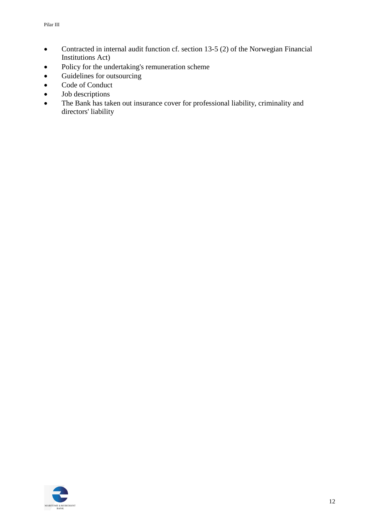- Contracted in internal audit function cf. section 13-5 (2) of the Norwegian Financial Institutions Act)
- Policy for the undertaking's remuneration scheme
- Guidelines for outsourcing
- Code of Conduct
- Job descriptions
- The Bank has taken out insurance cover for professional liability, criminality and directors' liability

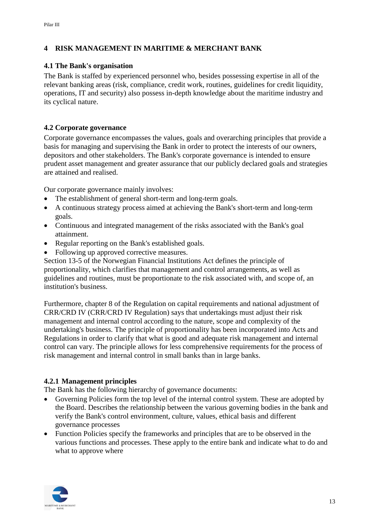## <span id="page-12-0"></span>**4 RISK MANAGEMENT IN MARITIME & MERCHANT BANK**

#### <span id="page-12-1"></span>**4.1 The Bank's organisation**

The Bank is staffed by experienced personnel who, besides possessing expertise in all of the relevant banking areas (risk, compliance, credit work, routines, guidelines for credit liquidity, operations, IT and security) also possess in-depth knowledge about the maritime industry and its cyclical nature.

## <span id="page-12-2"></span>**4.2 Corporate governance**

Corporate governance encompasses the values, goals and overarching principles that provide a basis for managing and supervising the Bank in order to protect the interests of our owners, depositors and other stakeholders. The Bank's corporate governance is intended to ensure prudent asset management and greater assurance that our publicly declared goals and strategies are attained and realised.

Our corporate governance mainly involves:

- The establishment of general short-term and long-term goals.
- A continuous strategy process aimed at achieving the Bank's short-term and long-term goals.
- Continuous and integrated management of the risks associated with the Bank's goal attainment.
- Regular reporting on the Bank's established goals.
- Following up approved corrective measures.

Section 13-5 of the Norwegian Financial Institutions Act defines the principle of proportionality, which clarifies that management and control arrangements, as well as guidelines and routines, must be proportionate to the risk associated with, and scope of, an institution's business.

Furthermore, chapter 8 of the Regulation on capital requirements and national adjustment of CRR/CRD IV (CRR/CRD IV Regulation) says that undertakings must adjust their risk management and internal control according to the nature, scope and complexity of the undertaking's business. The principle of proportionality has been incorporated into Acts and Regulations in order to clarify that what is good and adequate risk management and internal control can vary. The principle allows for less comprehensive requirements for the process of risk management and internal control in small banks than in large banks.

#### <span id="page-12-3"></span>**4.2.1 Management principles**

The Bank has the following hierarchy of governance documents:

- Governing Policies form the top level of the internal control system. These are adopted by the Board. Describes the relationship between the various governing bodies in the bank and verify the Bank's control environment, culture, values, ethical basis and different governance processes
- Function Policies specify the frameworks and principles that are to be observed in the various functions and processes. These apply to the entire bank and indicate what to do and what to approve where

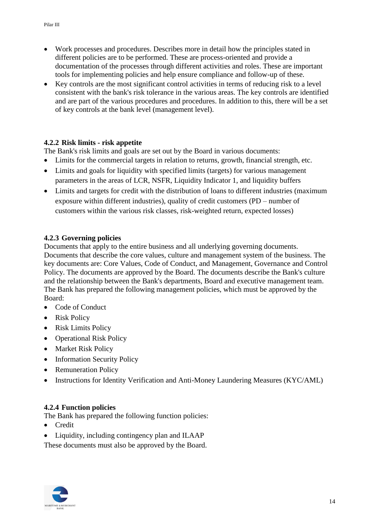- Work processes and procedures. Describes more in detail how the principles stated in different policies are to be performed. These are process-oriented and provide a documentation of the processes through different activities and roles. These are important tools for implementing policies and help ensure compliance and follow-up of these.
- Key controls are the most significant control activities in terms of reducing risk to a level consistent with the bank's risk tolerance in the various areas. The key controls are identified and are part of the various procedures and procedures. In addition to this, there will be a set of key controls at the bank level (management level).

## <span id="page-13-0"></span>**4.2.2 Risk limits - risk appetite**

The Bank's risk limits and goals are set out by the Board in various documents:

- Limits for the commercial targets in relation to returns, growth, financial strength, etc.
- Limits and goals for liquidity with specified limits (targets) for various management parameters in the areas of LCR, NSFR, Liquidity Indicator 1, and liquidity buffers
- Limits and targets for credit with the distribution of loans to different industries (maximum exposure within different industries), quality of credit customers (PD – number of customers within the various risk classes, risk-weighted return, expected losses)

#### <span id="page-13-1"></span>**4.2.3 Governing policies**

Documents that apply to the entire business and all underlying governing documents. Documents that describe the core values, culture and management system of the business. The key documents are: Core Values, Code of Conduct, and Management, Governance and Control Policy. The documents are approved by the Board. The documents describe the Bank's culture and the relationship between the Bank's departments, Board and executive management team. The Bank has prepared the following management policies, which must be approved by the Board:

- Code of Conduct
- Risk Policy
- Risk Limits Policy
- Operational Risk Policy
- Market Risk Policy
- Information Security Policy
- Remuneration Policy
- Instructions for Identity Verification and Anti-Money Laundering Measures (KYC/AML)

## <span id="page-13-2"></span>**4.2.4 Function policies**

The Bank has prepared the following function policies:

- Credit
- Liquidity, including contingency plan and ILAAP

These documents must also be approved by the Board.

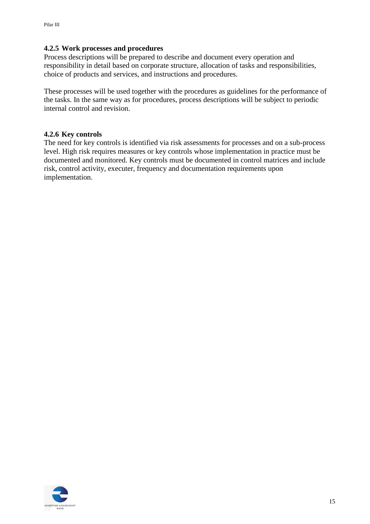#### <span id="page-14-0"></span>**4.2.5 Work processes and procedures**

Process descriptions will be prepared to describe and document every operation and responsibility in detail based on corporate structure, allocation of tasks and responsibilities, choice of products and services, and instructions and procedures.

These processes will be used together with the procedures as guidelines for the performance of the tasks. In the same way as for procedures, process descriptions will be subject to periodic internal control and revision.

#### <span id="page-14-1"></span>**4.2.6 Key controls**

The need for key controls is identified via risk assessments for processes and on a sub-process level. High risk requires measures or key controls whose implementation in practice must be documented and monitored. Key controls must be documented in control matrices and include risk, control activity, executer, frequency and documentation requirements upon implementation.

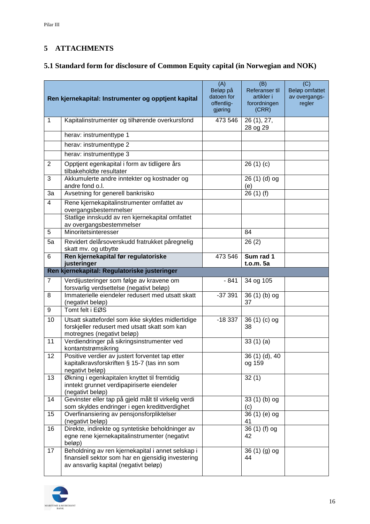## <span id="page-15-0"></span>**5 ATTACHMENTS**

## <span id="page-15-1"></span>**5.1 Standard form for disclosure of Common Equity capital (in Norwegian and NOK)**

|                | Ren kjernekapital: Instrumenter og opptjent kapital                                                                                              | (A)<br>Beløp på<br>datoen for<br>offentlig-<br>gjøring | (B)<br>Referanser til<br>artikler i<br>forordningen<br>(CRR) | (C)<br>Beløp omfattet<br>av overgangs-<br>regler |
|----------------|--------------------------------------------------------------------------------------------------------------------------------------------------|--------------------------------------------------------|--------------------------------------------------------------|--------------------------------------------------|
| 1              | Kapitalinstrumenter og tilhørende overkursfond                                                                                                   | 473 546                                                | 26 (1), 27,<br>28 og 29                                      |                                                  |
|                | herav: instrumenttype 1                                                                                                                          |                                                        |                                                              |                                                  |
|                | herav: instrumenttype 2                                                                                                                          |                                                        |                                                              |                                                  |
|                | herav: instrumenttype 3                                                                                                                          |                                                        |                                                              |                                                  |
| $\overline{2}$ | Opptient egenkapital i form av tidligere års<br>tilbakeholdte resultater                                                                         |                                                        | 26(1)(c)                                                     |                                                  |
| 3              | Akkumulerte andre inntekter og kostnader og<br>andre fond o.l.                                                                                   |                                                        | 26 (1) (d) og<br>(e)                                         |                                                  |
| 3a             | Avsetning for generell bankrisiko                                                                                                                |                                                        | 26(1)(f)                                                     |                                                  |
| $\overline{4}$ | Rene kjernekapitalinstrumenter omfattet av<br>overgangsbestemmelser                                                                              |                                                        |                                                              |                                                  |
|                | Statlige innskudd av ren kjernekapital omfattet<br>av overgangsbestemmelser                                                                      |                                                        |                                                              |                                                  |
| 5              | Minoritetsinteresser                                                                                                                             |                                                        | 84                                                           |                                                  |
| 5a             | Revidert delårsoverskudd fratrukket påregnelig<br>skatt mv. og utbytte                                                                           |                                                        | 26(2)                                                        |                                                  |
| 6              | Ren kjernekapital før regulatoriske<br>justeringer                                                                                               | 473 546                                                | Sum rad 1<br>t.o.m. 5a                                       |                                                  |
|                | Ren kjernekapital: Regulatoriske justeringer                                                                                                     |                                                        |                                                              |                                                  |
| $\overline{7}$ | Verdijusteringer som følge av kravene om<br>forsvarlig verdsettelse (negativt beløp)                                                             | - 841                                                  | 34 og 105                                                    |                                                  |
| 8              | Immaterielle eiendeler redusert med utsatt skatt<br>(negativt beløp)                                                                             | $-37391$                                               | 36 (1) (b) og<br>37                                          |                                                  |
| 9              | Tomt felt i EØS                                                                                                                                  |                                                        |                                                              |                                                  |
| 10             | Utsatt skattefordel som ikke skyldes midlertidige<br>forskjeller redusert med utsatt skatt som kan<br>motregnes (negativt beløp)                 | $-18337$                                               | $36(1)(c)$ og<br>38                                          |                                                  |
| 11             | Verdiendringer på sikringsinstrumenter ved<br>kontantstrømsikring                                                                                |                                                        | 33(1)(a)                                                     |                                                  |
| 12             | Positive verdier av justert forventet tap etter<br>kapitalkravsforskriften § 15-7 (tas inn som<br>negativt beløp)                                |                                                        | 36 (1) (d), 40<br>og 159                                     |                                                  |
| 13             | Økning i egenkapitalen knyttet til fremtidig<br>inntekt grunnet verdipapiriserte eiendeler<br>(negativt beløp)                                   |                                                        | 32(1)                                                        |                                                  |
| 14             | Gevinster eller tap på gjeld målt til virkelig verdi<br>som skyldes endringer i egen kredittverdighet                                            |                                                        | 33 (1) (b) og<br>(c)                                         |                                                  |
| 15             | Overfinansiering av pensjonsforpliktelser<br>(negativt beløp)                                                                                    |                                                        | 36 (1) (e) og<br>41                                          |                                                  |
| 16             | Direkte, indirekte og syntetiske beholdninger av<br>egne rene kjernekapitalinstrumenter (negativt<br>beløp)                                      |                                                        | 36 (1) (f) og<br>42                                          |                                                  |
| 17             | Beholdning av ren kjernekapital i annet selskap i<br>finansiell sektor som har en gjensidig investering<br>av ansvarlig kapital (negativt beløp) |                                                        | 36 (1) (g) og<br>44                                          |                                                  |

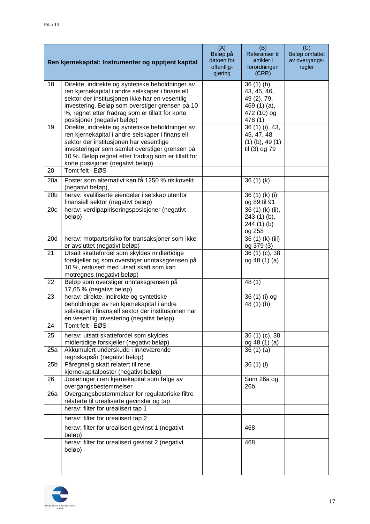|                 | Ren kjernekapital: Instrumenter og opptjent kapital                                                                                                                                                                                                                                                              | (A)<br>Beløp på<br>datoen for<br>offentlig-<br>gjøring | (B)<br>Referanser til<br>artikler i<br>forordningen<br>(CRR)                         | (C)<br>Beløp omfattet<br>av overgangs-<br>regler |
|-----------------|------------------------------------------------------------------------------------------------------------------------------------------------------------------------------------------------------------------------------------------------------------------------------------------------------------------|--------------------------------------------------------|--------------------------------------------------------------------------------------|--------------------------------------------------|
| 18              | Direkte, indirekte og syntetiske beholdninger av<br>ren kjernekapital i andre selskaper i finansiell<br>sektor der institusjonen ikke har en vesentlig<br>investering. Beløp som overstiger grensen på 10<br>%, regnet etter fradrag som er tillatt for korte<br>posisjoner (negativt beløp)                     |                                                        | $36(1)(h)$ ,<br>43, 45, 46,<br>49 (2), 79,<br>469 (1) (a),<br>472 (10) og<br>478 (1) |                                                  |
| 19              | Direkte, indirekte og syntetiske beholdninger av<br>ren kjernekapital i andre selskaper i finansiell<br>sektor der institusjonen har vesentlige<br>investeringer som samlet overstiger grensen på<br>10 %. Beløp regnet etter fradrag som er tillatt for<br>korte posisjoner (negativt beløp)<br>Tomt felt i EØS |                                                        | 36 (1) (i), 43,<br>45, 47, 48<br>$(1)$ (b), 49 $(1)$<br>til (3) og 79                |                                                  |
| 20<br>20a       | Poster som alternativt kan få 1250 % risikovekt<br>(negativt beløp),                                                                                                                                                                                                                                             |                                                        | 36(1)(k)                                                                             |                                                  |
| 20 <sub>b</sub> | herav: kvalifiserte eiendeler i selskap utenfor<br>finansiell sektor (negativt beløp)                                                                                                                                                                                                                            |                                                        | 36 (1) (k) (i)<br>og 89 til 91                                                       |                                                  |
| 20c             | herav: verdipapiriseringsposisjoner (negativt<br>beløp)                                                                                                                                                                                                                                                          |                                                        | 36 (1) (k) (ii),<br>243 (1) (b),<br>244 (1) (b)<br>og 258                            |                                                  |
| 20d             | herav: motpartsrisiko for transaksjoner som ikke<br>er avsluttet (negativt beløp)                                                                                                                                                                                                                                |                                                        | 36 (1) (k) (iii)<br>og 379 (3)                                                       |                                                  |
| 21              | Utsatt skattefordel som skyldes midlertidige<br>forskjeller og som overstiger unntaksgrensen på<br>10 %, redusert med utsatt skatt som kan<br>motregnes (negativt beløp)                                                                                                                                         |                                                        | 36 (1) (c), 38<br>og 48 (1) (a)                                                      |                                                  |
| 22              | Beløp som overstiger unntaksgrensen på<br>17,65 % (negativt beløp)                                                                                                                                                                                                                                               |                                                        | 48 (1)                                                                               |                                                  |
| 23              | herav: direkte, indirekte og syntetiske<br>beholdninger av ren kjernekapital i andre<br>selskaper i finansiell sektor der institusjonen har<br>en vesentlig investering (negativt beløp)                                                                                                                         |                                                        | 36 (1) (i) og<br>48 (1) (b)                                                          |                                                  |
| 24              | Tomt felt i EØS                                                                                                                                                                                                                                                                                                  |                                                        |                                                                                      |                                                  |
| 25              | herav: utsatt skattefordel som skyldes<br>midlertidige forskjeller (negativt beløp)                                                                                                                                                                                                                              |                                                        | 36 (1) (c), 38<br>og 48 (1) (a)                                                      |                                                  |
| 25a             | Akkumulert underskudd i inneværende<br>regnskapsår (negativt beløp)                                                                                                                                                                                                                                              |                                                        | 36(1)(a)                                                                             |                                                  |
| 25 <sub>b</sub> | Påregnelig skatt relatert til rene<br>kjernekapitalposter (negativt beløp)                                                                                                                                                                                                                                       |                                                        | $36(1)$ (l)                                                                          |                                                  |
| 26              | Justeringer i ren kjernekapital som følge av<br>overgangsbestemmelser                                                                                                                                                                                                                                            |                                                        | Sum 26a og<br>26 <sub>b</sub>                                                        |                                                  |
| 26a             | Overgangsbestemmelser for regulatoriske filtre<br>relaterte til urealiserte gevinster og tap                                                                                                                                                                                                                     |                                                        |                                                                                      |                                                  |
|                 | herav: filter for urealisert tap 1                                                                                                                                                                                                                                                                               |                                                        |                                                                                      |                                                  |
|                 | herav: filter for urealisert tap 2                                                                                                                                                                                                                                                                               |                                                        |                                                                                      |                                                  |
|                 | herav: filter for urealisert gevinst 1 (negativt<br>beløp)                                                                                                                                                                                                                                                       |                                                        | 468                                                                                  |                                                  |
|                 | herav: filter for urealisert gevinst 2 (negativt<br>beløp)                                                                                                                                                                                                                                                       |                                                        | 468                                                                                  |                                                  |

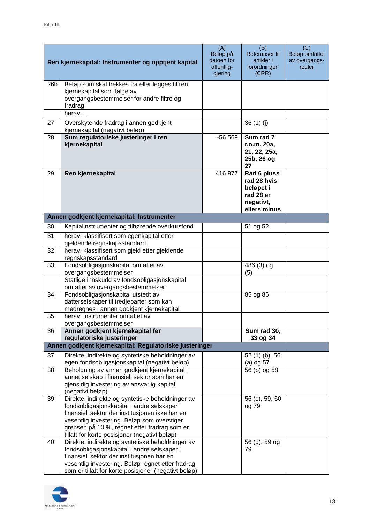|                 | Ren kjernekapital: Instrumenter og opptjent kapital                                                                                                                                                                                                                                                | (A)<br>Beløp på<br>datoen for<br>offentlig-<br>gjøring | (B)<br>Referanser til<br>artikler i<br>forordningen<br>(CRR)                      | (C)<br>Beløp omfattet<br>av overgangs-<br>regler |
|-----------------|----------------------------------------------------------------------------------------------------------------------------------------------------------------------------------------------------------------------------------------------------------------------------------------------------|--------------------------------------------------------|-----------------------------------------------------------------------------------|--------------------------------------------------|
| 26 <sub>b</sub> | Beløp som skal trekkes fra eller legges til ren<br>kjernekapital som følge av<br>overgangsbestemmelser for andre filtre og<br>fradrag                                                                                                                                                              |                                                        |                                                                                   |                                                  |
|                 | herav:                                                                                                                                                                                                                                                                                             |                                                        |                                                                                   |                                                  |
| 27              | Overskytende fradrag i annen godkjent<br>kjernekapital (negativt beløp)                                                                                                                                                                                                                            |                                                        | 36(1)(j)                                                                          |                                                  |
| 28              | Sum regulatoriske justeringer i ren<br>kjernekapital                                                                                                                                                                                                                                               | $-56569$                                               | Sum rad 7<br>t.o.m. 20a,<br>21, 22, 25a,<br>25b, 26 og<br>27                      |                                                  |
| 29              | Ren kjernekapital                                                                                                                                                                                                                                                                                  | 416 977                                                | Rad 6 pluss<br>rad 28 hvis<br>beløpet i<br>rad 28 er<br>negativt,<br>ellers minus |                                                  |
|                 | Annen godkjent kjernekapital: Instrumenter                                                                                                                                                                                                                                                         |                                                        |                                                                                   |                                                  |
| 30              | Kapitalinstrumenter og tilhørende overkursfond                                                                                                                                                                                                                                                     |                                                        | 51 og 52                                                                          |                                                  |
| 31              | herav: klassifisert som egenkapital etter<br>gjeldende regnskapsstandard                                                                                                                                                                                                                           |                                                        |                                                                                   |                                                  |
| 32              | herav: klassifisert som gjeld etter gjeldende<br>regnskapsstandard                                                                                                                                                                                                                                 |                                                        |                                                                                   |                                                  |
| 33              | Fondsobligasjonskapital omfattet av<br>overgangsbestemmelser                                                                                                                                                                                                                                       |                                                        | 486 (3) og<br>(5)                                                                 |                                                  |
|                 | Statlige innskudd av fondsobligasjonskapital<br>omfattet av overgangsbestemmelser                                                                                                                                                                                                                  |                                                        |                                                                                   |                                                  |
| 34              | Fondsobligasjonskapital utstedt av<br>datterselskaper til tredjeparter som kan                                                                                                                                                                                                                     |                                                        | 85 og 86                                                                          |                                                  |
| 35              | medregnes i annen godkjent kjernekapital<br>herav: instrumenter omfattet av<br>overgangsbestemmelser                                                                                                                                                                                               |                                                        |                                                                                   |                                                  |
| 36              | Annen godkjent kjernekapital før<br>regulatoriske justeringer                                                                                                                                                                                                                                      |                                                        | Sum rad 30,<br>33 og 34                                                           |                                                  |
|                 | Annen godkjent kjernekapital: Regulatoriske justeringer                                                                                                                                                                                                                                            |                                                        |                                                                                   |                                                  |
| 37              | Direkte, indirekte og syntetiske beholdninger av<br>egen fondsobligasjonskapital (negativt beløp)                                                                                                                                                                                                  |                                                        | 52 (1) (b), 56<br>$(a)$ og 57                                                     |                                                  |
| 38              | Beholdning av annen godkjent kjernekapital i<br>annet selskap i finansiell sektor som har en<br>gjensidig investering av ansvarlig kapital<br>(negativt beløp)                                                                                                                                     |                                                        | 56 (b) og 58                                                                      |                                                  |
| 39              | Direkte, indirekte og syntetiske beholdninger av<br>fondsobligasjonskapital i andre selskaper i<br>finansiell sektor der institusjonen ikke har en<br>vesentlig investering. Beløp som overstiger<br>grensen på 10 %, regnet etter fradrag som er<br>tillatt for korte posisjoner (negativt beløp) |                                                        | 56 (c), 59, 60<br>og 79                                                           |                                                  |
| 40              | Direkte, indirekte og syntetiske beholdninger av<br>fondsobligasjonskapital i andre selskaper i<br>finansiell sektor der institusjonen har en<br>vesentlig investering. Beløp regnet etter fradrag<br>som er tillatt for korte posisjoner (negativt beløp)                                         |                                                        | 56 (d), 59 og<br>79                                                               |                                                  |

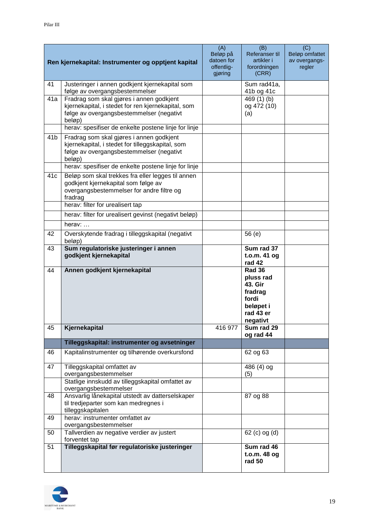|                 | Ren kjernekapital: Instrumenter og opptjent kapital                                                                                                                                  | (A)<br>Beløp på<br>datoen for<br>offentlig-<br>gjøring | (B)<br>Referanser til<br>artikler i<br>forordningen<br>(CRR)                                    | (C)<br>Beløp omfattet<br>av overgangs-<br>regler |
|-----------------|--------------------------------------------------------------------------------------------------------------------------------------------------------------------------------------|--------------------------------------------------------|-------------------------------------------------------------------------------------------------|--------------------------------------------------|
| 41              | Justeringer i annen godkjent kjernekapital som<br>følge av overgangsbestemmelser                                                                                                     |                                                        | Sum rad41a,<br>41b og 41c                                                                       |                                                  |
| 41a             | Fradrag som skal gjøres i annen godkjent<br>kjernekapital, i stedet for ren kjernekapital, som<br>følge av overgangsbestemmelser (negativt<br>beløp)                                 |                                                        | 469 $(1)$ $(b)$<br>og 472 (10)<br>(a)                                                           |                                                  |
|                 | herav: spesifiser de enkelte postene linje for linje                                                                                                                                 |                                                        |                                                                                                 |                                                  |
| 41 <sub>b</sub> | Fradrag som skal gjøres i annen godkjent<br>kjernekapital, i stedet for tilleggskapital, som<br>følge av overgangsbestemmelser (negativt<br>beløp)                                   |                                                        |                                                                                                 |                                                  |
|                 | herav: spesifiser de enkelte postene linje for linje                                                                                                                                 |                                                        |                                                                                                 |                                                  |
| 41c             | Beløp som skal trekkes fra eller legges til annen<br>godkjent kjernekapital som følge av<br>overgangsbestemmelser for andre filtre og<br>fradrag<br>herav: filter for urealisert tap |                                                        |                                                                                                 |                                                  |
|                 | herav: filter for urealisert gevinst (negativt beløp)                                                                                                                                |                                                        |                                                                                                 |                                                  |
|                 | herav: $\dots$                                                                                                                                                                       |                                                        |                                                                                                 |                                                  |
| 42              | Overskytende fradrag i tilleggskapital (negativt<br>beløp)                                                                                                                           |                                                        | 56 (e)                                                                                          |                                                  |
| 43              | Sum regulatoriske justeringer i annen<br>godkjent kjernekapital                                                                                                                      |                                                        | Sum rad 37<br>$t.o.m.$ 41 og<br>rad 42                                                          |                                                  |
| 44              | Annen godkjent kjernekapital                                                                                                                                                         |                                                        | <b>Rad 36</b><br>pluss rad<br>43. Gir<br>fradrag<br>fordi<br>beløpet i<br>rad 43 er<br>negativt |                                                  |
| 45              | Kjernekapital                                                                                                                                                                        | 416 977                                                | Sum rad 29<br>og rad 44                                                                         |                                                  |
|                 | Tilleggskapital: instrumenter og avsetninger                                                                                                                                         |                                                        |                                                                                                 |                                                  |
| 46              | Kapitalinstrumenter og tilhørende overkursfond                                                                                                                                       |                                                        | 62 og 63                                                                                        |                                                  |
| 47              | Tilleggskapital omfattet av<br>overgangsbestemmelser                                                                                                                                 |                                                        | 486 (4) og<br>(5)                                                                               |                                                  |
|                 | Statlige innskudd av tilleggskapital omfattet av<br>overgangsbestemmelser                                                                                                            |                                                        |                                                                                                 |                                                  |
| 48              | Ansvarlig lånekapital utstedt av datterselskaper<br>til tredjeparter som kan medregnes i<br>tilleggskapitalen                                                                        |                                                        | 87 og 88                                                                                        |                                                  |
| 49              | herav: instrumenter omfattet av<br>overgangsbestemmelser                                                                                                                             |                                                        |                                                                                                 |                                                  |
| 50              | Tallverdien av negative verdier av justert<br>forventet tap                                                                                                                          |                                                        | 62 (c) og (d)                                                                                   |                                                  |
| 51              | Tilleggskapital før regulatoriske justeringer                                                                                                                                        |                                                        | Sum rad 46<br>t.o.m. 48 og<br>rad 50                                                            |                                                  |

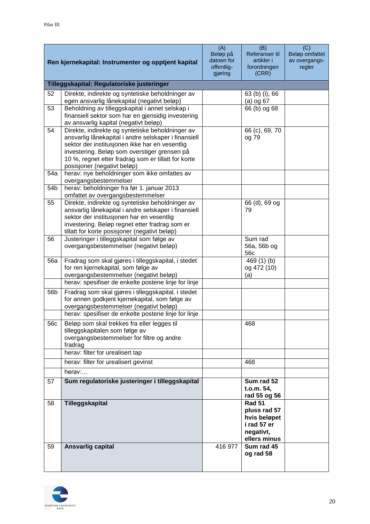| Ren kjernekapital: Instrumenter og opptjent kapital |                                                                                                                                                                                                                                                                                                  | (A)<br>Beløp på<br>datoen for<br>offentlig-<br>gjøring | (B)<br>Referanser til<br>artikler i<br>forordningen<br>(CRR)                              | (C)<br>Beløp omfattet<br>av overgangs-<br>regler |  |  |  |  |
|-----------------------------------------------------|--------------------------------------------------------------------------------------------------------------------------------------------------------------------------------------------------------------------------------------------------------------------------------------------------|--------------------------------------------------------|-------------------------------------------------------------------------------------------|--------------------------------------------------|--|--|--|--|
| Tilleggskapital: Regulatoriske justeringer          |                                                                                                                                                                                                                                                                                                  |                                                        |                                                                                           |                                                  |  |  |  |  |
| 52                                                  | Direkte, indirekte og syntetiske beholdninger av                                                                                                                                                                                                                                                 |                                                        | 63 (b) (i), 66                                                                            |                                                  |  |  |  |  |
|                                                     | egen ansvarlig lånekapital (negativt beløp)                                                                                                                                                                                                                                                      |                                                        | $(a)$ og 67                                                                               |                                                  |  |  |  |  |
| 53                                                  | Beholdning av tilleggskapital i annet selskap i<br>finansiell sektor som har en gjensidig investering<br>av ansvarlig kapital (negativt beløp)                                                                                                                                                   |                                                        | 66 (b) og 68                                                                              |                                                  |  |  |  |  |
| 54                                                  | Direkte, indirekte og syntetiske beholdninger av<br>ansvarlig lånekapital i andre selskaper i finansiell<br>sektor der institusjonen ikke har en vesentlig<br>investering. Beløp som overstiger grensen på<br>10 %, regnet etter fradrag som er tillatt for korte<br>posisjoner (negativt beløp) |                                                        | 66 (c), 69, 70<br>og 79                                                                   |                                                  |  |  |  |  |
| 54a                                                 | herav: nye beholdninger som ikke omfattes av<br>overgangsbestemmelser                                                                                                                                                                                                                            |                                                        |                                                                                           |                                                  |  |  |  |  |
| 54b                                                 | herav: beholdninger fra før 1. januar 2013<br>omfattet av overgangsbestemmelser                                                                                                                                                                                                                  |                                                        |                                                                                           |                                                  |  |  |  |  |
| 55                                                  | Direkte, indirekte og syntetiske beholdninger av<br>ansvarlig lånekapital i andre selskaper i finansiell<br>sektor der institusjonen har en vesentlig<br>investering. Beløp regnet etter fradrag som er<br>tillatt for korte posisjoner (negativt beløp)                                         |                                                        | 66 (d), 69 og<br>79                                                                       |                                                  |  |  |  |  |
| 56                                                  | Justeringer i tilleggskapital som følge av<br>overgangsbestemmelser (negativt beløp)                                                                                                                                                                                                             |                                                        | Sum rad<br>56a, 56b og<br>56c                                                             |                                                  |  |  |  |  |
| <b>56a</b>                                          | Fradrag som skal gjøres i tilleggskapital, i stedet<br>for ren kjernekapital, som følge av<br>overgangsbestemmelser (negativt beløp)                                                                                                                                                             |                                                        | 469 (1) (b)<br>og 472 (10)<br>(a)                                                         |                                                  |  |  |  |  |
|                                                     | herav: spesifiser de enkelte postene linje for linje                                                                                                                                                                                                                                             |                                                        |                                                                                           |                                                  |  |  |  |  |
| 56b                                                 | Fradrag som skal gjøres i tilleggskapital, i stedet<br>for annen godkjent kjernekapital, som følge av<br>overgangsbestemmelser (negativt beløp)                                                                                                                                                  |                                                        |                                                                                           |                                                  |  |  |  |  |
|                                                     | herav: spesifiser de enkelte postene linje for linje                                                                                                                                                                                                                                             |                                                        |                                                                                           |                                                  |  |  |  |  |
| 56c                                                 | Beløp som skal trekkes fra eller legges til<br>tilleggskapitalen som følge av<br>overgangsbestemmelser for filtre og andre<br>fradrag                                                                                                                                                            |                                                        | 468                                                                                       |                                                  |  |  |  |  |
|                                                     | herav: filter for urealisert tap                                                                                                                                                                                                                                                                 |                                                        |                                                                                           |                                                  |  |  |  |  |
|                                                     | herav: filter for urealisert gevinst                                                                                                                                                                                                                                                             |                                                        | 468                                                                                       |                                                  |  |  |  |  |
|                                                     | herav:                                                                                                                                                                                                                                                                                           |                                                        |                                                                                           |                                                  |  |  |  |  |
| 57                                                  | Sum regulatoriske justeringer i tilleggskapital                                                                                                                                                                                                                                                  |                                                        | Sum rad 52<br>t.o.m. 54,<br>rad 55 og 56                                                  |                                                  |  |  |  |  |
| 58                                                  | Tilleggskapital                                                                                                                                                                                                                                                                                  |                                                        | <b>Rad 51</b><br>pluss rad 57<br>hvis beløpet<br>i rad 57 er<br>negativt,<br>ellers minus |                                                  |  |  |  |  |
| 59                                                  | Ansvarlig capital                                                                                                                                                                                                                                                                                | 416 977                                                | Sum rad 45<br>og rad 58                                                                   |                                                  |  |  |  |  |

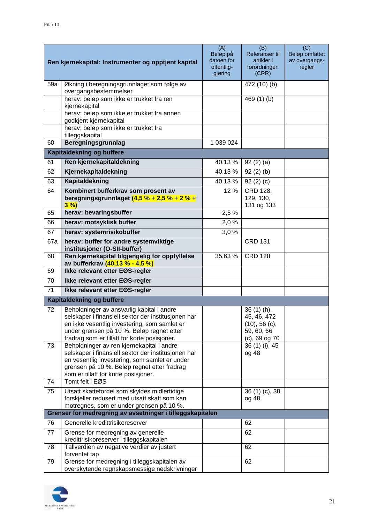| Ren kjernekapital: Instrumenter og opptjent kapital |                                                                                                                                                                                                                                               | (A)<br>Beløp på<br>datoen for<br>offentlig-<br>gjøring | (B)<br>Referanser til<br>artikler i<br>forordningen<br>(CRR)                     | (C)<br>Beløp omfattet<br>av overgangs-<br>regler |
|-----------------------------------------------------|-----------------------------------------------------------------------------------------------------------------------------------------------------------------------------------------------------------------------------------------------|--------------------------------------------------------|----------------------------------------------------------------------------------|--------------------------------------------------|
| 59a                                                 | Økning i beregningsgrunnlaget som følge av<br>overgangsbestemmelser                                                                                                                                                                           |                                                        | 472 (10) (b)                                                                     |                                                  |
|                                                     | herav: beløp som ikke er trukket fra ren<br>kjernekapital                                                                                                                                                                                     |                                                        | 469 (1) (b)                                                                      |                                                  |
|                                                     | herav: beløp som ikke er trukket fra annen<br>godkjent kjernekapital                                                                                                                                                                          |                                                        |                                                                                  |                                                  |
|                                                     | herav: beløp som ikke er trukket fra<br>tilleggskapital                                                                                                                                                                                       |                                                        |                                                                                  |                                                  |
| 60                                                  | <b>Beregningsgrunnlag</b>                                                                                                                                                                                                                     | 1 039 024                                              |                                                                                  |                                                  |
|                                                     | Kapitaldekning og buffere                                                                                                                                                                                                                     |                                                        |                                                                                  |                                                  |
| 61                                                  | Ren kjernekapitaldekning                                                                                                                                                                                                                      | 40,13 %                                                | 92(2)(a)                                                                         |                                                  |
| 62                                                  | Kjernekapitaldekning                                                                                                                                                                                                                          | 40,13%                                                 | 92(2)(b)                                                                         |                                                  |
| 63                                                  | Kapitaldekning                                                                                                                                                                                                                                | 40,13%                                                 | 92(2)(c)                                                                         |                                                  |
| 64                                                  | Kombinert bufferkrav som prosent av<br>beregningsgrunnlaget (4,5 % + 2,5 % + 2 % +<br>3%                                                                                                                                                      | 12 %                                                   | CRD 128,<br>129, 130,<br>131 og 133                                              |                                                  |
| 65                                                  | herav: bevaringsbuffer                                                                                                                                                                                                                        | 2,5%                                                   |                                                                                  |                                                  |
| 66                                                  | herav: motsyklisk buffer                                                                                                                                                                                                                      | 2,0%                                                   |                                                                                  |                                                  |
| 67                                                  | herav: systemrisikobuffer                                                                                                                                                                                                                     | 3,0%                                                   |                                                                                  |                                                  |
| 67a                                                 | herav: buffer for andre systemviktige<br>institusjoner (O-SII-buffer)                                                                                                                                                                         |                                                        | <b>CRD 131</b>                                                                   |                                                  |
| 68                                                  | Ren kjernekapital tilgjengelig for oppfyllelse<br>av bufferkrav (40,13 % - 4,5 %)                                                                                                                                                             | 35,63 %                                                | <b>CRD 128</b>                                                                   |                                                  |
| 69                                                  | Ikke relevant etter EØS-regler                                                                                                                                                                                                                |                                                        |                                                                                  |                                                  |
| 70                                                  | Ikke relevant etter EØS-regler                                                                                                                                                                                                                |                                                        |                                                                                  |                                                  |
| $\overline{71}$                                     | Ikke relevant etter EØS-regler                                                                                                                                                                                                                |                                                        |                                                                                  |                                                  |
|                                                     | <b>Kapitaldekning og buffere</b>                                                                                                                                                                                                              |                                                        |                                                                                  |                                                  |
| 72                                                  | Beholdninger av ansvarlig kapital i andre<br>selskaper i finansiell sektor der institusjonen har<br>en ikke vesentlig investering, som samlet er<br>under grensen på 10 %. Beløp regnet etter<br>fradrag som er tillatt for korte posisjoner. |                                                        | $36(1)(h)$ ,<br>45, 46, 472<br>$(10), 56$ (c),<br>59, 60, 66<br>$(c)$ , 69 og 70 |                                                  |
| 73                                                  | Beholdninger av ren kjernekapital i andre<br>selskaper i finansiell sektor der institusjonen har<br>en vesentlig investering, som samlet er under<br>grensen på 10 %. Beløp regnet etter fradrag<br>som er tillatt for korte posisjoner.      |                                                        | 36 (1) (i), 45<br>og 48                                                          |                                                  |
| 74                                                  | Tomt felt i EØS                                                                                                                                                                                                                               |                                                        |                                                                                  |                                                  |
| 75                                                  | Utsatt skattefordel som skyldes midlertidige<br>forskjeller redusert med utsatt skatt som kan                                                                                                                                                 |                                                        | 36 (1) (c), 38<br>og 48                                                          |                                                  |
|                                                     | motregnes, som er under grensen på 10 %.<br>Grenser for medregning av avsetninger i tilleggskapitalen                                                                                                                                         |                                                        |                                                                                  |                                                  |
| 76                                                  | Generelle kredittrisikoreserver                                                                                                                                                                                                               |                                                        | 62                                                                               |                                                  |
| 77                                                  | Grense for medregning av generelle<br>kredittrisikoreserver i tilleggskapitalen                                                                                                                                                               |                                                        | 62                                                                               |                                                  |
| 78                                                  | Tallverdien av negative verdier av justert<br>forventet tap                                                                                                                                                                                   |                                                        | 62                                                                               |                                                  |
| 79                                                  | Grense for medregning i tilleggskapitalen av<br>overskytende regnskapsmessige nedskrivninger                                                                                                                                                  |                                                        | 62                                                                               |                                                  |